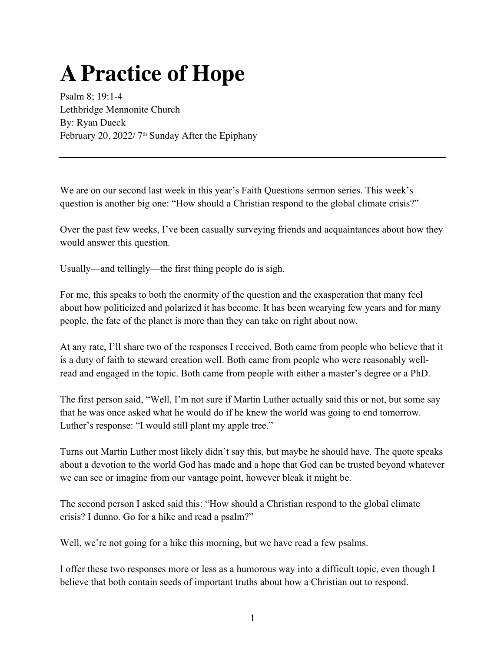## **A Practice of Hope**

Psalm 8; 19:1-4 Lethbridge Mennonite Church By: Ryan Dueck February 20, 2022/7<sup>th</sup> Sunday After the Epiphany

We are on our second last week in this year's Faith Questions sermon series. This week's question is another big one: "How should a Christian respond to the global climate crisis?"

Over the past few weeks, I've been casually surveying friends and acquaintances about how they would answer this question.

Usually—and tellingly—the first thing people do is sigh.

For me, this speaks to both the enormity of the question and the exasperation that many feel about how politicized and polarized it has become. It has been wearying few years and for many people, the fate of the planet is more than they can take on right about now.

At any rate, I'll share two of the responses I received. Both came from people who believe that it is a duty of faith to steward creation well. Both came from people who were reasonably wellread and engaged in the topic. Both came from people with either a master's degree or a PhD.

The first person said, "Well, I'm not sure if Martin Luther actually said this or not, but some say that he was once asked what he would do if he knew the world was going to end tomorrow. Luther's response: "I would still plant my apple tree."

Turns out Martin Luther most likely didn't say this, but maybe he should have. The quote speaks about a devotion to the world God has made and a hope that God can be trusted beyond whatever we can see or imagine from our vantage point, however bleak it might be.

The second person I asked said this: "How should a Christian respond to the global climate crisis? I dunno. Go for a hike and read a psalm?"

Well, we're not going for a hike this morning, but we have read a few psalms.

I offer these two responses more or less as a humorous way into a difficult topic, even though I believe that both contain seeds of important truths about how a Christian out to respond.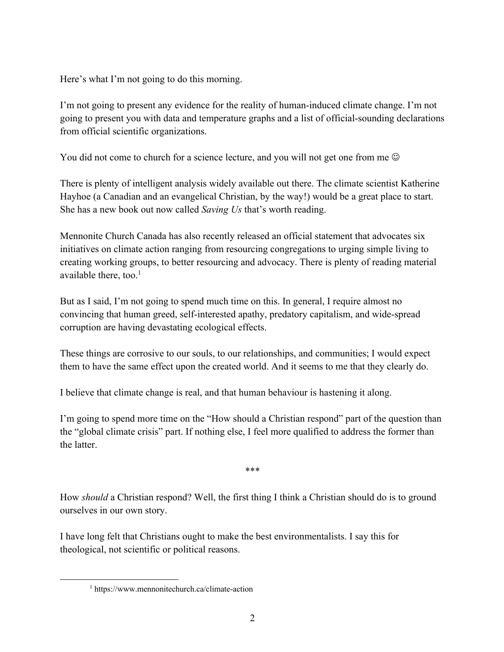Here's what I'm not going to do this morning.

I'm not going to present any evidence for the reality of human-induced climate change. I'm not going to present you with data and temperature graphs and a list of official-sounding declarations from official scientific organizations.

You did not come to church for a science lecture, and you will not get one from me  $\odot$ 

There is plenty of intelligent analysis widely available out there. The climate scientist Katherine Hayhoe (a Canadian and an evangelical Christian, by the way!) would be a great place to start. She has a new book out now called *Saving Us* that's worth reading.

Mennonite Church Canada has also recently released an official statement that advocates six initiatives on climate action ranging from resourcing congregations to urging simple living to creating working groups, to better resourcing and advocacy. There is plenty of reading material available there, too. $<sup>1</sup>$ </sup>

But as I said, I'm not going to spend much time on this. In general, I require almost no convincing that human greed, self-interested apathy, predatory capitalism, and wide-spread corruption are having devastating ecological effects.

These things are corrosive to our souls, to our relationships, and communities; I would expect them to have the same effect upon the created world. And it seems to me that they clearly do.

I believe that climate change is real, and that human behaviour is hastening it along.

I'm going to spend more time on the "How should a Christian respond" part of the question than the "global climate crisis" part. If nothing else, I feel more qualified to address the former than the latter.

\*\*\*

How *should* a Christian respond? Well, the first thing I think a Christian should do is to ground ourselves in our own story.

I have long felt that Christians ought to make the best environmentalists. I say this for theological, not scientific or political reasons.

<sup>1</sup> https://www.mennonitechurch.ca/climate-action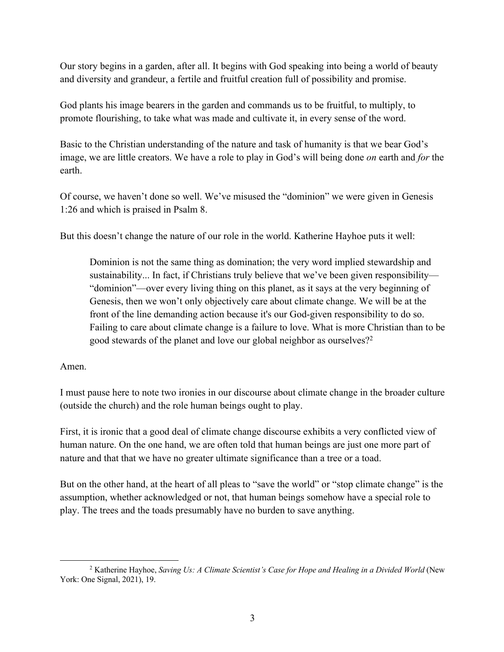Our story begins in a garden, after all. It begins with God speaking into being a world of beauty and diversity and grandeur, a fertile and fruitful creation full of possibility and promise.

God plants his image bearers in the garden and commands us to be fruitful, to multiply, to promote flourishing, to take what was made and cultivate it, in every sense of the word.

Basic to the Christian understanding of the nature and task of humanity is that we bear God's image, we are little creators. We have a role to play in God's will being done *on* earth and *for* the earth.

Of course, we haven't done so well. We've misused the "dominion" we were given in Genesis 1:26 and which is praised in Psalm 8.

But this doesn't change the nature of our role in the world. Katherine Hayhoe puts it well:

Dominion is not the same thing as domination; the very word implied stewardship and sustainability... In fact, if Christians truly believe that we've been given responsibility— "dominion"—over every living thing on this planet, as it says at the very beginning of Genesis, then we won't only objectively care about climate change. We will be at the front of the line demanding action because it's our God-given responsibility to do so. Failing to care about climate change is a failure to love. What is more Christian than to be good stewards of the planet and love our global neighbor as ourselves?<sup>2</sup>

Amen.

I must pause here to note two ironies in our discourse about climate change in the broader culture (outside the church) and the role human beings ought to play.

First, it is ironic that a good deal of climate change discourse exhibits a very conflicted view of human nature. On the one hand, we are often told that human beings are just one more part of nature and that that we have no greater ultimate significance than a tree or a toad.

But on the other hand, at the heart of all pleas to "save the world" or "stop climate change" is the assumption, whether acknowledged or not, that human beings somehow have a special role to play. The trees and the toads presumably have no burden to save anything.

<sup>2</sup> Katherine Hayhoe, *Saving Us: A Climate Scientist's Case for Hope and Healing in a Divided World* (New York: One Signal, 2021), 19.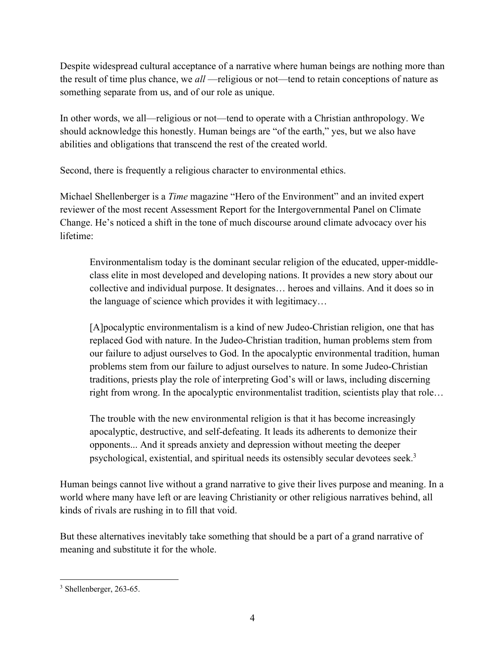Despite widespread cultural acceptance of a narrative where human beings are nothing more than the result of time plus chance, we *all* —religious or not—tend to retain conceptions of nature as something separate from us, and of our role as unique.

In other words, we all—religious or not—tend to operate with a Christian anthropology. We should acknowledge this honestly. Human beings are "of the earth," yes, but we also have abilities and obligations that transcend the rest of the created world.

Second, there is frequently a religious character to environmental ethics.

Michael Shellenberger is a *Time* magazine "Hero of the Environment" and an invited expert reviewer of the most recent Assessment Report for the Intergovernmental Panel on Climate Change. He's noticed a shift in the tone of much discourse around climate advocacy over his lifetime:

Environmentalism today is the dominant secular religion of the educated, upper-middleclass elite in most developed and developing nations. It provides a new story about our collective and individual purpose. It designates… heroes and villains. And it does so in the language of science which provides it with legitimacy…

[A]pocalyptic environmentalism is a kind of new Judeo-Christian religion, one that has replaced God with nature. In the Judeo-Christian tradition, human problems stem from our failure to adjust ourselves to God. In the apocalyptic environmental tradition, human problems stem from our failure to adjust ourselves to nature. In some Judeo-Christian traditions, priests play the role of interpreting God's will or laws, including discerning right from wrong. In the apocalyptic environmentalist tradition, scientists play that role…

The trouble with the new environmental religion is that it has become increasingly apocalyptic, destructive, and self-defeating. It leads its adherents to demonize their opponents... And it spreads anxiety and depression without meeting the deeper psychological, existential, and spiritual needs its ostensibly secular devotees seek.3

Human beings cannot live without a grand narrative to give their lives purpose and meaning. In a world where many have left or are leaving Christianity or other religious narratives behind, all kinds of rivals are rushing in to fill that void.

But these alternatives inevitably take something that should be a part of a grand narrative of meaning and substitute it for the whole.

<sup>3</sup> Shellenberger, 263-65.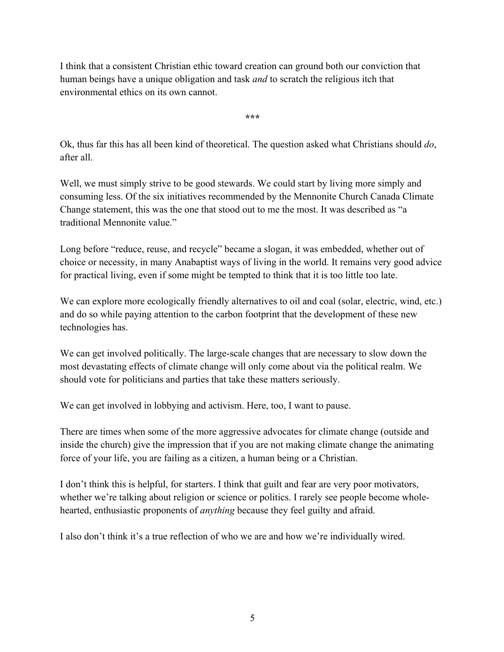I think that a consistent Christian ethic toward creation can ground both our conviction that human beings have a unique obligation and task *and* to scratch the religious itch that environmental ethics on its own cannot.

**\*\*\***

Ok, thus far this has all been kind of theoretical. The question asked what Christians should *do*, after all.

Well, we must simply strive to be good stewards. We could start by living more simply and consuming less. Of the six initiatives recommended by the Mennonite Church Canada Climate Change statement, this was the one that stood out to me the most. It was described as "a traditional Mennonite value."

Long before "reduce, reuse, and recycle" became a slogan, it was embedded, whether out of choice or necessity, in many Anabaptist ways of living in the world. It remains very good advice for practical living, even if some might be tempted to think that it is too little too late.

We can explore more ecologically friendly alternatives to oil and coal (solar, electric, wind, etc.) and do so while paying attention to the carbon footprint that the development of these new technologies has.

We can get involved politically. The large-scale changes that are necessary to slow down the most devastating effects of climate change will only come about via the political realm. We should vote for politicians and parties that take these matters seriously.

We can get involved in lobbying and activism. Here, too, I want to pause.

There are times when some of the more aggressive advocates for climate change (outside and inside the church) give the impression that if you are not making climate change the animating force of your life, you are failing as a citizen, a human being or a Christian.

I don't think this is helpful, for starters. I think that guilt and fear are very poor motivators, whether we're talking about religion or science or politics. I rarely see people become wholehearted, enthusiastic proponents of *anything* because they feel guilty and afraid.

I also don't think it's a true reflection of who we are and how we're individually wired.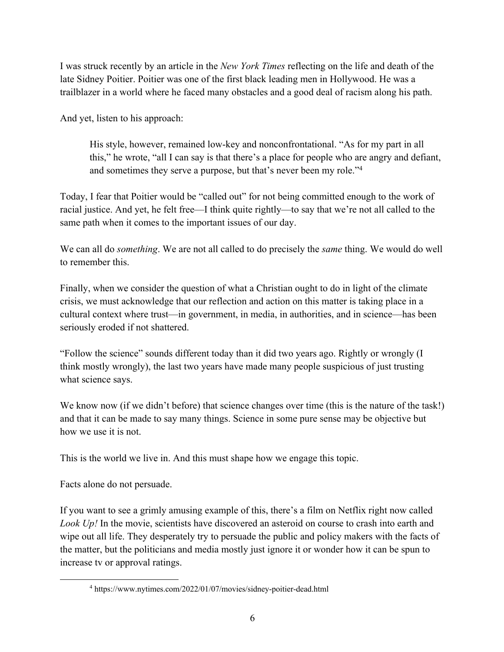I was struck recently by an article in the *New York Times* reflecting on the life and death of the late Sidney Poitier. Poitier was one of the first black leading men in Hollywood. He was a trailblazer in a world where he faced many obstacles and a good deal of racism along his path.

And yet, listen to his approach:

His style, however, remained low-key and nonconfrontational. "As for my part in all this," he wrote, "all I can say is that there's a place for people who are angry and defiant, and sometimes they serve a purpose, but that's never been my role."4

Today, I fear that Poitier would be "called out" for not being committed enough to the work of racial justice. And yet, he felt free—I think quite rightly—to say that we're not all called to the same path when it comes to the important issues of our day.

We can all do *something*. We are not all called to do precisely the *same* thing. We would do well to remember this.

Finally, when we consider the question of what a Christian ought to do in light of the climate crisis, we must acknowledge that our reflection and action on this matter is taking place in a cultural context where trust—in government, in media, in authorities, and in science—has been seriously eroded if not shattered.

"Follow the science" sounds different today than it did two years ago. Rightly or wrongly (I think mostly wrongly), the last two years have made many people suspicious of just trusting what science says.

We know now (if we didn't before) that science changes over time (this is the nature of the task!) and that it can be made to say many things. Science in some pure sense may be objective but how we use it is not.

This is the world we live in. And this must shape how we engage this topic.

Facts alone do not persuade.

If you want to see a grimly amusing example of this, there's a film on Netflix right now called *Look Up!* In the movie, scientists have discovered an asteroid on course to crash into earth and wipe out all life. They desperately try to persuade the public and policy makers with the facts of the matter, but the politicians and media mostly just ignore it or wonder how it can be spun to increase tv or approval ratings.

<sup>4</sup> https://www.nytimes.com/2022/01/07/movies/sidney-poitier-dead.html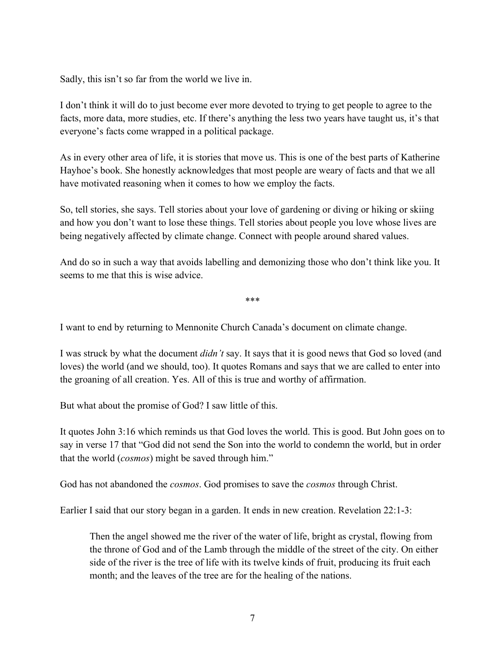Sadly, this isn't so far from the world we live in.

I don't think it will do to just become ever more devoted to trying to get people to agree to the facts, more data, more studies, etc. If there's anything the less two years have taught us, it's that everyone's facts come wrapped in a political package.

As in every other area of life, it is stories that move us. This is one of the best parts of Katherine Hayhoe's book. She honestly acknowledges that most people are weary of facts and that we all have motivated reasoning when it comes to how we employ the facts.

So, tell stories, she says. Tell stories about your love of gardening or diving or hiking or skiing and how you don't want to lose these things. Tell stories about people you love whose lives are being negatively affected by climate change. Connect with people around shared values.

And do so in such a way that avoids labelling and demonizing those who don't think like you. It seems to me that this is wise advice.

\*\*\*

I want to end by returning to Mennonite Church Canada's document on climate change.

I was struck by what the document *didn't* say. It says that it is good news that God so loved (and loves) the world (and we should, too). It quotes Romans and says that we are called to enter into the groaning of all creation. Yes. All of this is true and worthy of affirmation.

But what about the promise of God? I saw little of this.

It quotes John 3:16 which reminds us that God loves the world. This is good. But John goes on to say in verse 17 that "God did not send the Son into the world to condemn the world, but in order that the world (*cosmos*) might be saved through him."

God has not abandoned the *cosmos*. God promises to save the *cosmos* through Christ.

Earlier I said that our story began in a garden. It ends in new creation. Revelation 22:1-3:

Then the angel showed me the river of the water of life, bright as crystal, flowing from the throne of God and of the Lamb through the middle of the street of the city. On either side of the river is the tree of life with its twelve kinds of fruit, producing its fruit each month; and the leaves of the tree are for the healing of the nations.